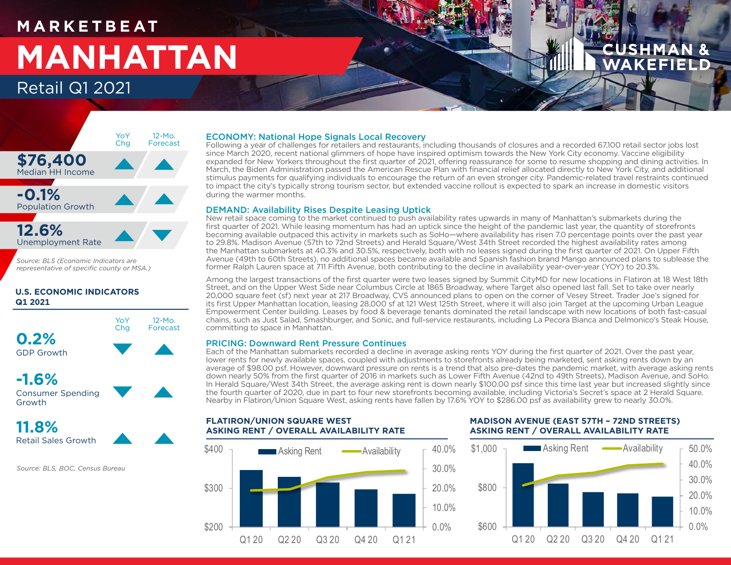## **M A R K E T B E AT MANHATTAN** Retail Q1 2021



*Source: BLS (Economic Indicators are representative of specific county or MSA.)*

## **U.S. ECONOMIC INDICATORS Q1 2021**



**-1.6%** Consumer Spending Growth

**11.8%** Retail Sales Growth

*Source: BLS, BOC, Census Bureau*

### ECONOMY: National Hope Signals Local Recovery

Following a year of challenges for retailers and restaurants, including thousands of closures and a recorded 67,100 retail sector jobs lost since March 2020, recent national glimmers of hope have inspired optimism towards the New York City economy. Vaccine eligibility expanded for New Yorkers throughout the first quarter of 2021, offering reassurance for some to resume shopping and dining activities. In March, the Biden Administration passed the American Rescue Plan with financial relief allocated directly to New York City, and additional stimulus payments for qualifying individuals to encourage the return of an even stronger city. Pandemic-related travel restraints continued to impact the city's typically strong tourism sector, but extended vaccine rollout is expected to spark an increase in domestic visitors during the warmer months.

#### DEMAND: Availability Rises Despite Leasing Uptick

New retail space coming to the market continued to push availability rates upwards in many of Manhattan's submarkets during the first quarter of 2021. While leasing momentum has had an uptick since the height of the pandemic last year, the quantity of storefronts becoming available outpaced this activity in markets such as SoHo—where availability has risen 7.0 percentage points over the past year to 29.8%. Madison Avenue (57th to 72nd Streets) and Herald Square/West 34th Street recorded the highest availability rates among the Manhattan submarkets at 40.3% and 30.5%, respectively, both with no leases signed during the first quarter of 2021. On Upper Fifth Avenue (49th to 60th Streets), no additional spaces became available and Spanish fashion brand Mango announced plans to sublease the former Ralph Lauren space at 711 Fifth Avenue, both contributing to the decline in availability year-over-year (YOY) to 20.3%.

Among the largest transactions of the first quarter were two leases signed by Summit CityMD for new locations in Flatiron at 18 West 18th Street, and on the Upper West Side near Columbus Circle at 1865 Broadway, where Target also opened last fall. Set to take over nearly 20,000 square feet (sf) next year at 217 Broadway, CVS announced plans to open on the corner of Vesey Street. Trader Joe's signed for its first Upper Manhattan location, leasing 28,000 sf at 121 West 125th Street, where it will also join Target at the upcoming Urban League Empowerment Center building. Leases by food & beverage tenants dominated the retail landscape with new locations of both fast-casual chains, such as Just Salad, Smashburger, and Sonic, and full-service restaurants, including La Pecora Bianca and Delmonico's Steak House, committing to space in Manhattan.

#### PRICING: Downward Rent Pressure Continues

**FLATIRON/UNION SQUARE WEST**

Each of the Manhattan submarkets recorded a decline in average asking rents YOY during the first quarter of 2021. Over the past year, lower rents for newly available spaces, coupled with adjustments to storefronts already being marketed, sent asking rents down by an average of \$98.00 psf. However, downward pressure on rents is a trend that also pre-dates the pandemic market, with average asking rents down nearly 50% from the first quarter of 2016 in markets such as Lower Fifth Avenue (42nd to 49th Streets), Madison Avenue, and SoHo. In Herald Square/West 34th Street, the average asking rent is down nearly \$100.00 psf since this time last year but increased slightly since the fourth quarter of 2020, due in part to four new storefronts becoming available, including Victoria's Secret's space at 2 Herald Square. Nearby in Flatiron/Union Square West, asking rents have fallen by 17.6% YOY to \$286.00 psf as availability grew to nearly 30.0%.



### **MADISON AVENUE (EAST 57TH – 72ND STREETS) ASKING RENT / OVERALL AVAILABILITY RATE**